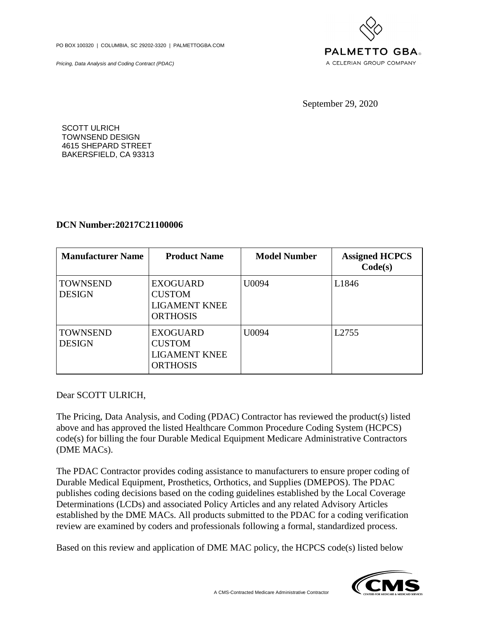PO BOX 100320 | COLUMBIA, SC 29202-3320 | PALMETTOGBA.COM

Pricing, Data Analysis and Coding Contract (PDAC)



September 29, 2020

SCOTT ULRICH TOWNSEND DESIGN 4615 SHEPARD STREET BAKERSFIELD, CA 93313

## **DCN Number:20217C21100006**

| <b>Manufacturer Name</b>         | <b>Product Name</b>                                                         | <b>Model Number</b> | <b>Assigned HCPCS</b><br>Code(s) |
|----------------------------------|-----------------------------------------------------------------------------|---------------------|----------------------------------|
| <b>TOWNSEND</b><br><b>DESIGN</b> | <b>EXOGUARD</b><br><b>CUSTOM</b><br><b>LIGAMENT KNEE</b><br><b>ORTHOSIS</b> | U0094               | L1846                            |
| <b>TOWNSEND</b><br><b>DESIGN</b> | <b>EXOGUARD</b><br><b>CUSTOM</b><br><b>LIGAMENT KNEE</b><br><b>ORTHOSIS</b> | U0094               | L2755                            |

Dear SCOTT ULRICH,

The Pricing, Data Analysis, and Coding (PDAC) Contractor has reviewed the product(s) listed above and has approved the listed Healthcare Common Procedure Coding System (HCPCS) code(s) for billing the four Durable Medical Equipment Medicare Administrative Contractors (DME MACs).

The PDAC Contractor provides coding assistance to manufacturers to ensure proper coding of Durable Medical Equipment, Prosthetics, Orthotics, and Supplies (DMEPOS). The PDAC publishes coding decisions based on the coding guidelines established by the Local Coverage Determinations (LCDs) and associated Policy Articles and any related Advisory Articles established by the DME MACs. All products submitted to the PDAC for a coding verification review are examined by coders and professionals following a formal, standardized process.

Based on this review and application of DME MAC policy, the HCPCS code(s) listed below